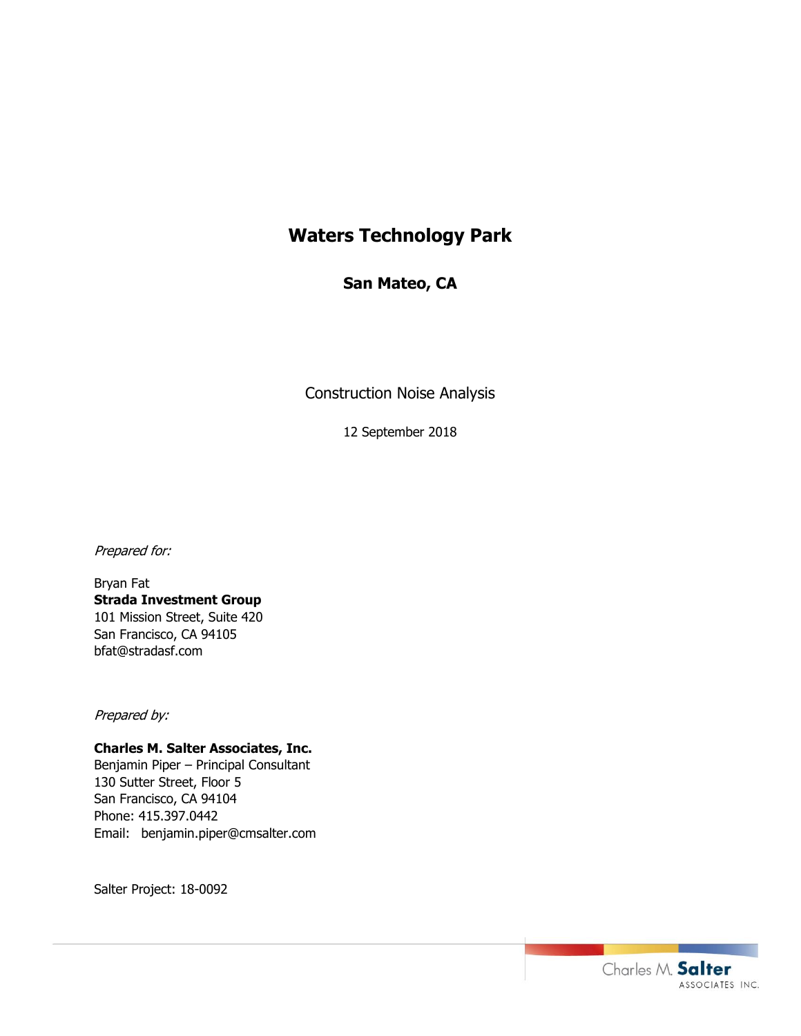# **Waters Technology Park**

# **San Mateo, CA**

Construction Noise Analysis

12 September 2018

Prepared for:

Bryan Fat **Strada Investment Group** 101 Mission Street, Suite 420 San Francisco, CA 94105 bfat@stradasf.com

Prepared by:

## **Charles M. Salter Associates, Inc.**

Benjamin Piper – Principal Consultant 130 Sutter Street, Floor 5 San Francisco, CA 94104 Phone: 415.397.0442 Email: benjamin.piper@cmsalter.com

Salter Project: 18-0092

Charles M. Salter ASSOCIATES INC.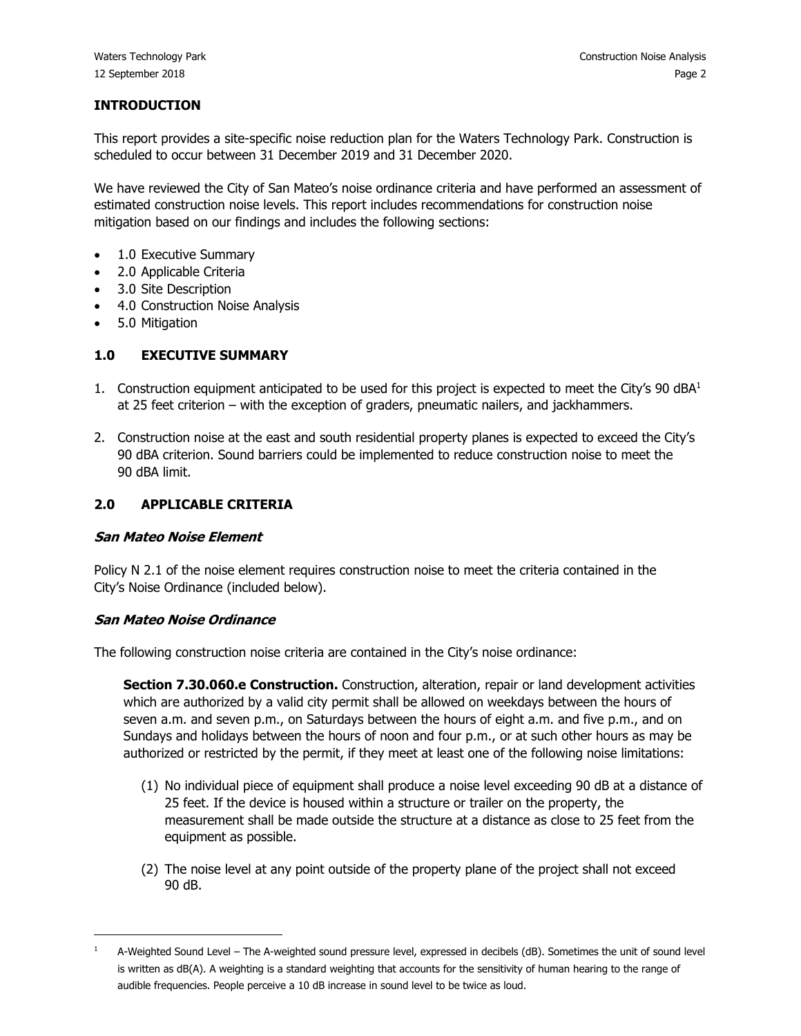#### **INTRODUCTION**

This report provides a site-specific noise reduction plan for the Waters Technology Park. Construction is scheduled to occur between 31 December 2019 and 31 December 2020.

We have reviewed the City of San Mateo's noise ordinance criteria and have performed an assessment of estimated construction noise levels. This report includes recommendations for construction noise mitigation based on our findings and includes the following sections:

- 1.0 Executive Summary
- 2.0 Applicable Criteria
- 3.0 Site Description
- 4.0 Construction Noise Analysis
- 5.0 Mitigation

#### **1.0 EXECUTIVE SUMMARY**

- 1. Construction equipment anticipated to be used for this project is expected to meet the City's 90 dBA<sup>1</sup> at 25 feet criterion – with the exception of graders, pneumatic nailers, and jackhammers.
- 2. Construction noise at the east and south residential property planes is expected to exceed the City's 90 dBA criterion. Sound barriers could be implemented to reduce construction noise to meet the 90 dBA limit.

#### **2.0 APPLICABLE CRITERIA**

#### **San Mateo Noise Element**

Policy N 2.1 of the noise element requires construction noise to meet the criteria contained in the City's Noise Ordinance (included below).

#### **San Mateo Noise Ordinance**

The following construction noise criteria are contained in the City's noise ordinance:

**Section 7.30.060.e Construction.** Construction, alteration, repair or land development activities which are authorized by a valid city permit shall be allowed on weekdays between the hours of seven a.m. and seven p.m., on Saturdays between the hours of eight a.m. and five p.m., and on Sundays and holidays between the hours of noon and four p.m., or at such other hours as may be authorized or restricted by the permit, if they meet at least one of the following noise limitations:

- (1) No individual piece of equipment shall produce a noise level exceeding 90 dB at a distance of 25 feet. If the device is housed within a structure or trailer on the property, the measurement shall be made outside the structure at a distance as close to 25 feet from the equipment as possible.
- (2) The noise level at any point outside of the property plane of the project shall not exceed 90 dB.

<sup>1</sup> A-Weighted Sound Level – The A-weighted sound pressure level, expressed in decibels (dB). Sometimes the unit of sound level is written as dB(A). A weighting is a standard weighting that accounts for the sensitivity of human hearing to the range of audible frequencies. People perceive a 10 dB increase in sound level to be twice as loud.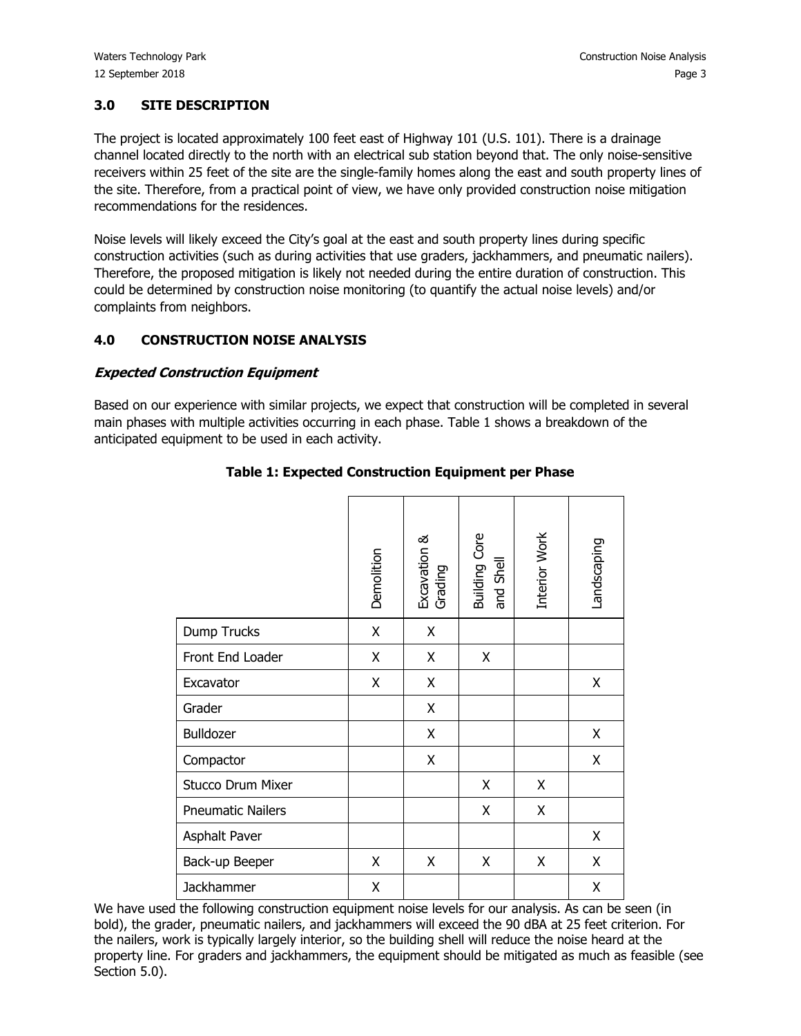#### **3.0 SITE DESCRIPTION**

The project is located approximately 100 feet east of Highway 101 (U.S. 101). There is a drainage channel located directly to the north with an electrical sub station beyond that. The only noise-sensitive receivers within 25 feet of the site are the single-family homes along the east and south property lines of the site. Therefore, from a practical point of view, we have only provided construction noise mitigation recommendations for the residences.

Noise levels will likely exceed the City's goal at the east and south property lines during specific construction activities (such as during activities that use graders, jackhammers, and pneumatic nailers). Therefore, the proposed mitigation is likely not needed during the entire duration of construction. This could be determined by construction noise monitoring (to quantify the actual noise levels) and/or complaints from neighbors.

#### **4.0 CONSTRUCTION NOISE ANALYSIS**

#### **Expected Construction Equipment**

Based on our experience with similar projects, we expect that construction will be completed in several main phases with multiple activities occurring in each phase. Table 1 shows a breakdown of the anticipated equipment to be used in each activity.

|                          | Demolition | Excavation &<br>Grading | <b>Building Core</b><br>and Shell | Interior Work | Landscaping |
|--------------------------|------------|-------------------------|-----------------------------------|---------------|-------------|
| Dump Trucks              | Χ          | Χ                       |                                   |               |             |
| Front End Loader         | X          | X                       | X                                 |               |             |
| Excavator                | X          | X                       |                                   |               | X           |
| Grader                   |            | X                       |                                   |               |             |
| Bulldozer                |            | X                       |                                   |               | X           |
| Compactor                |            | Χ                       |                                   |               | X           |
| <b>Stucco Drum Mixer</b> |            |                         | X                                 | X             |             |
| <b>Pneumatic Nailers</b> |            |                         | X                                 | Χ             |             |
| Asphalt Paver            |            |                         |                                   |               | Χ           |
| Back-up Beeper           | X          | X                       | X                                 | Χ             | X           |
| Jackhammer               | X          |                         |                                   |               | Χ           |

## **Table 1: Expected Construction Equipment per Phase**

We have used the following construction equipment noise levels for our analysis. As can be seen (in bold), the grader, pneumatic nailers, and jackhammers will exceed the 90 dBA at 25 feet criterion. For the nailers, work is typically largely interior, so the building shell will reduce the noise heard at the property line. For graders and jackhammers, the equipment should be mitigated as much as feasible (see Section 5.0).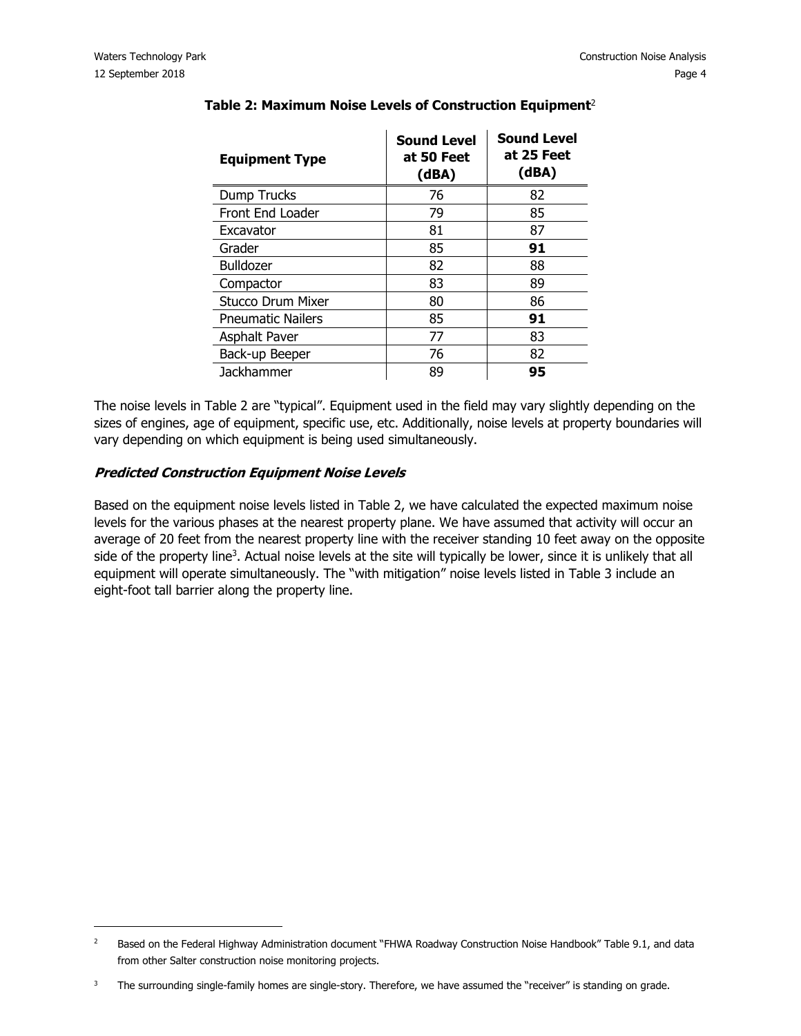| <b>Equipment Type</b>    | <b>Sound Level</b><br>at 50 Feet<br>(dBA) | <b>Sound Level</b><br>at 25 Feet<br>(dBA) |
|--------------------------|-------------------------------------------|-------------------------------------------|
| Dump Trucks              | 76                                        | 82                                        |
| Front End Loader         | 79                                        | 85                                        |
| Excavator                | 81                                        | 87                                        |
| Grader                   | 85                                        | 91                                        |
| <b>Bulldozer</b>         | 82                                        | 88                                        |
| Compactor                | 83                                        | 89                                        |
| <b>Stucco Drum Mixer</b> | 80                                        | 86                                        |
| <b>Pneumatic Nailers</b> | 85                                        | 91                                        |
| <b>Asphalt Paver</b>     | 77                                        | 83                                        |
| Back-up Beeper           | 76                                        | 82                                        |
| <b>Jackhammer</b>        | 89                                        | 95                                        |

# **Table 2: Maximum Noise Levels of Construction Equipment**<sup>2</sup>

The noise levels in Table 2 are "typical". Equipment used in the field may vary slightly depending on the sizes of engines, age of equipment, specific use, etc. Additionally, noise levels at property boundaries will vary depending on which equipment is being used simultaneously.

#### **Predicted Construction Equipment Noise Levels**

Based on the equipment noise levels listed in Table 2, we have calculated the expected maximum noise levels for the various phases at the nearest property plane. We have assumed that activity will occur an average of 20 feet from the nearest property line with the receiver standing 10 feet away on the opposite side of the property line<sup>3</sup>. Actual noise levels at the site will typically be lower, since it is unlikely that all equipment will operate simultaneously. The "with mitigation" noise levels listed in Table 3 include an eight-foot tall barrier along the property line.

<sup>&</sup>lt;sup>2</sup> Based on the Federal Highway Administration document "FHWA Roadway Construction Noise Handbook" Table 9.1, and data from other Salter construction noise monitoring projects.

 $3$  The surrounding single-family homes are single-story. Therefore, we have assumed the "receiver" is standing on grade.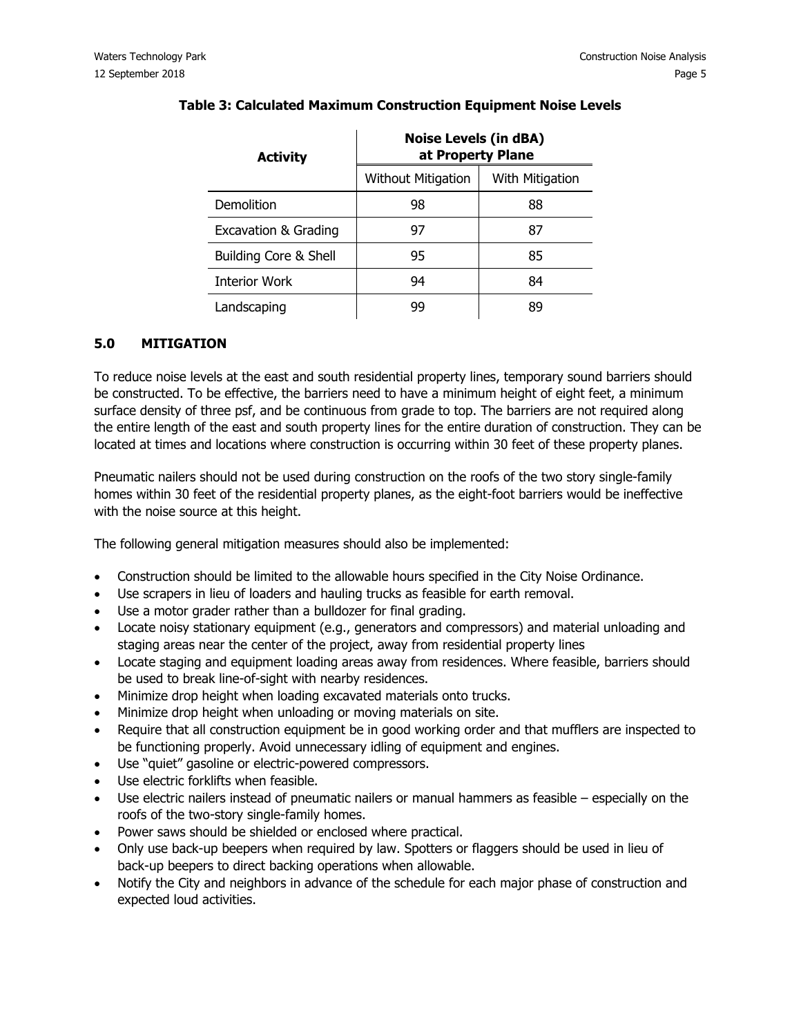| <b>Activity</b>                  | <b>Noise Levels (in dBA)</b><br>at Property Plane |                 |  |  |  |
|----------------------------------|---------------------------------------------------|-----------------|--|--|--|
|                                  | <b>Without Mitigation</b>                         | With Mitigation |  |  |  |
| Demolition                       | 98                                                | 88              |  |  |  |
| <b>Excavation &amp; Grading</b>  | 97                                                | 87              |  |  |  |
| <b>Building Core &amp; Shell</b> | 95                                                | 85              |  |  |  |
| <b>Interior Work</b>             | 94                                                | 84              |  |  |  |
| Landscaping                      | 99                                                | RΟ              |  |  |  |

#### **Table 3: Calculated Maximum Construction Equipment Noise Levels**

#### **5.0 MITIGATION**

To reduce noise levels at the east and south residential property lines, temporary sound barriers should be constructed. To be effective, the barriers need to have a minimum height of eight feet, a minimum surface density of three psf, and be continuous from grade to top. The barriers are not required along the entire length of the east and south property lines for the entire duration of construction. They can be located at times and locations where construction is occurring within 30 feet of these property planes.

Pneumatic nailers should not be used during construction on the roofs of the two story single-family homes within 30 feet of the residential property planes, as the eight-foot barriers would be ineffective with the noise source at this height.

The following general mitigation measures should also be implemented:

- Construction should be limited to the allowable hours specified in the City Noise Ordinance.
- Use scrapers in lieu of loaders and hauling trucks as feasible for earth removal.
- Use a motor grader rather than a bulldozer for final grading.
- Locate noisy stationary equipment (e.g., generators and compressors) and material unloading and staging areas near the center of the project, away from residential property lines
- Locate staging and equipment loading areas away from residences. Where feasible, barriers should be used to break line-of-sight with nearby residences.
- Minimize drop height when loading excavated materials onto trucks.
- Minimize drop height when unloading or moving materials on site.
- Require that all construction equipment be in good working order and that mufflers are inspected to be functioning properly. Avoid unnecessary idling of equipment and engines.
- Use "quiet" gasoline or electric-powered compressors.
- Use electric forklifts when feasible.
- Use electric nailers instead of pneumatic nailers or manual hammers as feasible especially on the roofs of the two-story single-family homes.
- Power saws should be shielded or enclosed where practical.
- Only use back-up beepers when required by law. Spotters or flaggers should be used in lieu of back-up beepers to direct backing operations when allowable.
- Notify the City and neighbors in advance of the schedule for each major phase of construction and expected loud activities.